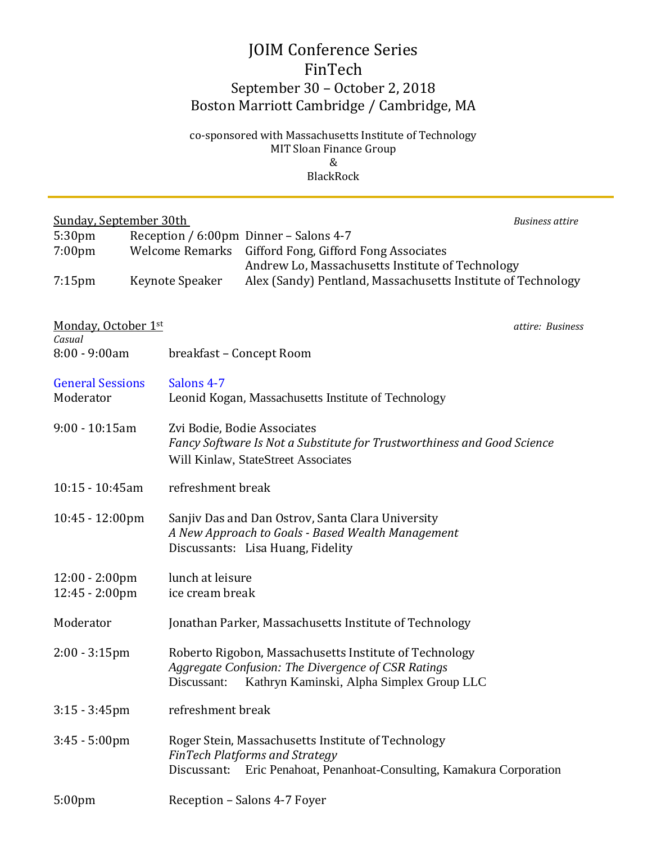## JOIM Conference Series FinTech September 30 – October 2, 2018 Boston Marriott Cambridge / Cambridge, MA

co-sponsored with Massachusetts Institute of Technology MIT Sloan Finance Group & BlackRock

| <b>Sunday, September 30th</b>                        |                                                                  |                                                                                        |                                                              | <b>Business attire</b> |  |
|------------------------------------------------------|------------------------------------------------------------------|----------------------------------------------------------------------------------------|--------------------------------------------------------------|------------------------|--|
| 5:30 <sub>pm</sub><br>7:00 <sub>pm</sub>             | Reception / 6:00pm Dinner – Salons 4-7<br><b>Welcome Remarks</b> |                                                                                        | Gifford Fong, Gifford Fong Associates                        |                        |  |
|                                                      |                                                                  |                                                                                        | Andrew Lo, Massachusetts Institute of Technology             |                        |  |
| $7:15$ pm                                            | Keynote Speaker                                                  |                                                                                        | Alex (Sandy) Pentland, Massachusetts Institute of Technology |                        |  |
|                                                      |                                                                  |                                                                                        |                                                              |                        |  |
| Monday, October 1st<br>Casual                        |                                                                  |                                                                                        |                                                              | attire: Business       |  |
| $8:00 - 9:00am$                                      |                                                                  | breakfast - Concept Room                                                               |                                                              |                        |  |
| <b>General Sessions</b>                              |                                                                  | Salons 4-7                                                                             |                                                              |                        |  |
| Moderator                                            |                                                                  | Leonid Kogan, Massachusetts Institute of Technology                                    |                                                              |                        |  |
| $9:00 - 10:15$ am                                    |                                                                  | Zvi Bodie, Bodie Associates                                                            |                                                              |                        |  |
|                                                      |                                                                  | Fancy Software Is Not a Substitute for Trustworthiness and Good Science                |                                                              |                        |  |
|                                                      |                                                                  |                                                                                        | Will Kinlaw, StateStreet Associates                          |                        |  |
| 10:15 - 10:45am                                      |                                                                  | refreshment break                                                                      |                                                              |                        |  |
| 10:45 - 12:00pm                                      |                                                                  | Sanjiv Das and Dan Ostrov, Santa Clara University                                      |                                                              |                        |  |
|                                                      |                                                                  | A New Approach to Goals - Based Wealth Management<br>Discussants: Lisa Huang, Fidelity |                                                              |                        |  |
|                                                      |                                                                  | lunch at leisure                                                                       |                                                              |                        |  |
| $12:00 - 2:00 \text{pm}$<br>$12:45 - 2:00 \text{pm}$ |                                                                  | ice cream break                                                                        |                                                              |                        |  |
| Moderator                                            |                                                                  | Jonathan Parker, Massachusetts Institute of Technology                                 |                                                              |                        |  |
| $2:00 - 3:15$ pm                                     |                                                                  |                                                                                        | Roberto Rigobon, Massachusetts Institute of Technology       |                        |  |
|                                                      |                                                                  |                                                                                        | Aggregate Confusion: The Divergence of CSR Ratings           |                        |  |
|                                                      |                                                                  | Discussant:                                                                            | Kathryn Kaminski, Alpha Simplex Group LLC                    |                        |  |
| $3:15 - 3:45$ pm                                     |                                                                  | refreshment break                                                                      |                                                              |                        |  |
| $3:45 - 5:00$ pm                                     |                                                                  | Roger Stein, Massachusetts Institute of Technology                                     |                                                              |                        |  |
|                                                      |                                                                  | Discussant:                                                                            | <b>FinTech Platforms and Strategy</b>                        |                        |  |
|                                                      |                                                                  |                                                                                        | Eric Penahoat, Penanhoat-Consulting, Kamakura Corporation    |                        |  |
| 5:00 <sub>pm</sub>                                   |                                                                  | Reception - Salons 4-7 Foyer                                                           |                                                              |                        |  |